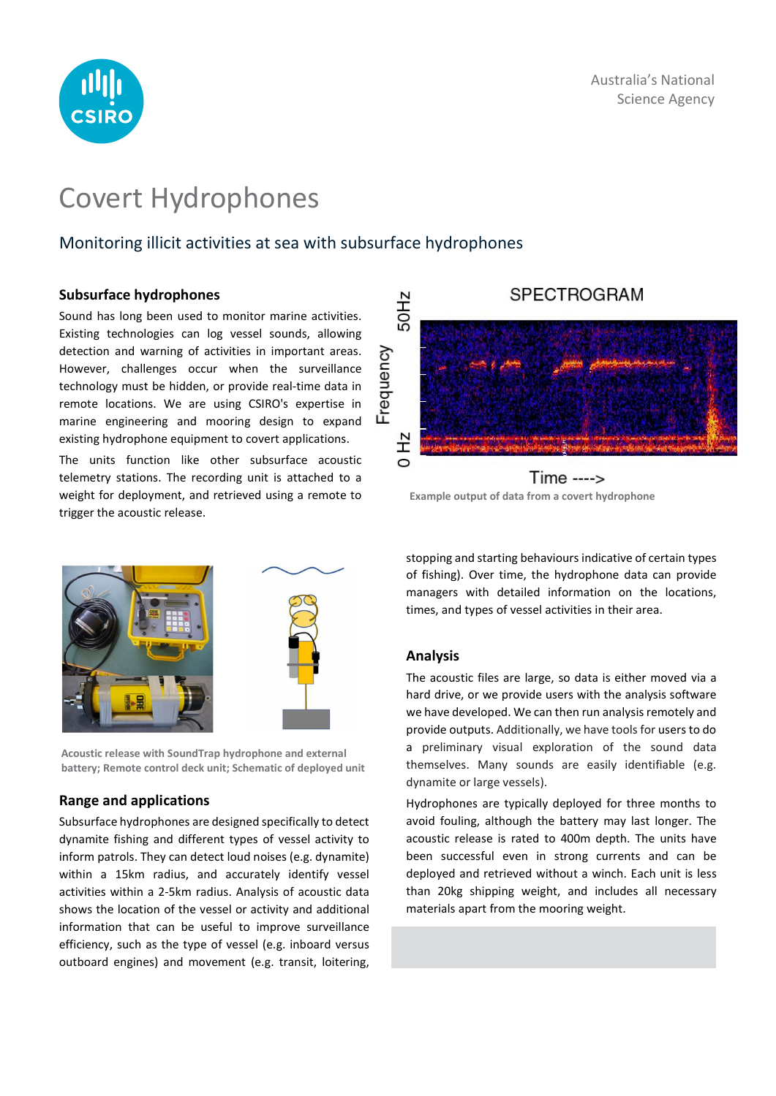

# Covert Hydrophones

# Monitoring illicit activities at sea with subsurface hydrophones

## Subsurface hydrophones

Sound has long been used to monitor marine activities. Existing technologies can log vessel sounds, allowing detection and warning of activities in important areas. However, challenges occur when the surveillance technology must be hidden, or provide real-time data in remote locations. We are using CSIRO's expertise in marine engineering and mooring design to expand existing hydrophone equipment to covert applications.

The units function like other subsurface acoustic telemetry stations. The recording unit is attached to a weight for deployment, and retrieved using a remote to trigger the acoustic release.



Acoustic release with SoundTrap hydrophone and external battery; Remote control deck unit; Schematic of deployed unit

## Range and applications

Subsurface hydrophones are designed specifically to detect dynamite fishing and different types of vessel activity to inform patrols. They can detect loud noises (e.g. dynamite) within a 15km radius, and accurately identify vessel activities within a 2-5km radius. Analysis of acoustic data shows the location of the vessel or activity and additional information that can be useful to improve surveillance efficiency, such as the type of vessel (e.g. inboard versus outboard engines) and movement (e.g. transit, loitering,



Example output of data from a covert hydrophone

stopping and starting behaviours indicative of certain types of fishing). Over time, the hydrophone data can provide managers with detailed information on the locations, times, and types of vessel activities in their area.

## Analysis

The acoustic files are large, so data is either moved via a hard drive, or we provide users with the analysis software we have developed. We can then run analysis remotely and provide outputs. Additionally, we have tools for users to do a preliminary visual exploration of the sound data themselves. Many sounds are easily identifiable (e.g. dynamite or large vessels).

Hydrophones are typically deployed for three months to avoid fouling, although the battery may last longer. The acoustic release is rated to 400m depth. The units have been successful even in strong currents and can be deployed and retrieved without a winch. Each unit is less than 20kg shipping weight, and includes all necessary materials apart from the mooring weight.